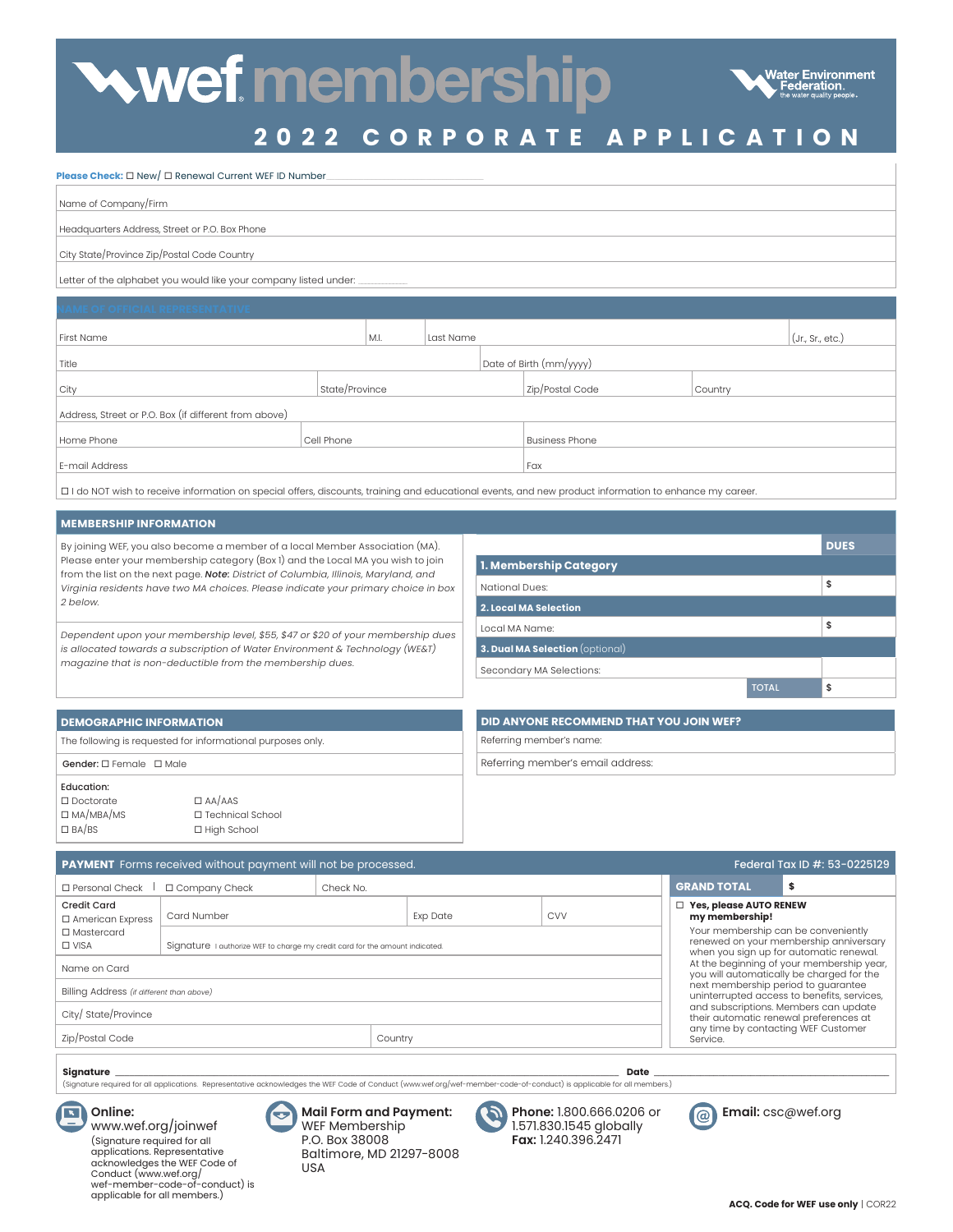# wef membership



## **2022 C ORPORATE APPLICATION**

#### **Please Check:**  $\square$  New/  $\square$  Renewal Current WEF ID Number

| Name of Company/Firm                                             |
|------------------------------------------------------------------|
| Headquarters Address, Street or P.O. Box Phone                   |
| City State/Province Zip/Postal Code Country                      |
| Letter of the alphabet you would like your company listed under: |

| First Name                                            |                | M.I. | Last Name |                         |                       |  |         | $($ Jr., Sr., etc.) |
|-------------------------------------------------------|----------------|------|-----------|-------------------------|-----------------------|--|---------|---------------------|
| Title                                                 |                |      |           | Date of Birth (mm/yyyy) |                       |  |         |                     |
| City                                                  | State/Province |      |           |                         | Zip/Postal Code       |  | Country |                     |
| Address, Street or P.O. Box (if different from above) |                |      |           |                         |                       |  |         |                     |
| Home Phone                                            | Cell Phone     |      |           |                         | <b>Business Phone</b> |  |         |                     |
| E-mail Address                                        |                |      |           |                         | Fax                   |  |         |                     |
|                                                       |                |      |           |                         |                       |  |         |                     |

I do NOT wish to receive information on special offers, discounts, training and educational events, and new product information to enhance my career.

#### **MEMBERSHIP INFORMATION**

 $\square$  BA/BS

| By joining WEF, you also become a member of a local Member Association (MA).<br>Please enter your membership category (Box 1) and the Local MA you wish to join<br>from the list on the next page. Note: District of Columbia, Illinois, Maryland, and<br>Virginia residents have two MA choices. Please indicate your primary choice in box<br>2 below. |                    |                              |                                         |              | <b>DUES</b> |  |  |
|----------------------------------------------------------------------------------------------------------------------------------------------------------------------------------------------------------------------------------------------------------------------------------------------------------------------------------------------------------|--------------------|------------------------------|-----------------------------------------|--------------|-------------|--|--|
|                                                                                                                                                                                                                                                                                                                                                          |                    |                              | 1. Membership Category                  |              |             |  |  |
|                                                                                                                                                                                                                                                                                                                                                          |                    | National Dues:               | \$                                      |              |             |  |  |
|                                                                                                                                                                                                                                                                                                                                                          |                    | <b>2. Local MA Selection</b> |                                         |              |             |  |  |
| Dependent upon your membership level, \$55, \$47 or \$20 of your membership dues<br>is allocated towards a subscription of Water Environment & Technology (WE&T)<br>magazine that is non-deductible from the membership dues.                                                                                                                            |                    |                              | Local MA Name:                          |              | \$          |  |  |
|                                                                                                                                                                                                                                                                                                                                                          |                    |                              | 3. Dual MA Selection (optional)         |              |             |  |  |
|                                                                                                                                                                                                                                                                                                                                                          |                    |                              | Secondary MA Selections:                |              |             |  |  |
|                                                                                                                                                                                                                                                                                                                                                          |                    |                              |                                         | <b>TOTAL</b> | \$          |  |  |
|                                                                                                                                                                                                                                                                                                                                                          |                    |                              |                                         |              |             |  |  |
| <b>DEMOGRAPHIC INFORMATION</b>                                                                                                                                                                                                                                                                                                                           |                    |                              | DID ANYONE RECOMMEND THAT YOU JOIN WEF? |              |             |  |  |
| The following is requested for informational purposes only.                                                                                                                                                                                                                                                                                              |                    |                              | Referring member's name:                |              |             |  |  |
| Gender: □ Female □ Male                                                                                                                                                                                                                                                                                                                                  |                    |                              | Referring member's email address:       |              |             |  |  |
| <b>Education:</b>                                                                                                                                                                                                                                                                                                                                        |                    |                              |                                         |              |             |  |  |
| $\Box$ Doctorate                                                                                                                                                                                                                                                                                                                                         | $\Box$ AA/AAS      |                              |                                         |              |             |  |  |
| $\Box$ MA/MBA/MS                                                                                                                                                                                                                                                                                                                                         | □ Technical School |                              |                                         |              |             |  |  |

| <b>PAYMENT</b> Forms received without payment will not be processed.<br>Federal Tax ID #: 53-0225129                                                                                        |                                                                                                                                                      |  |  |  |                                                                                        |                                                                                        |
|---------------------------------------------------------------------------------------------------------------------------------------------------------------------------------------------|------------------------------------------------------------------------------------------------------------------------------------------------------|--|--|--|----------------------------------------------------------------------------------------|----------------------------------------------------------------------------------------|
| □ Personal Check<br>□ Company Check<br>Check No.                                                                                                                                            |                                                                                                                                                      |  |  |  | <b>GRAND TOTAL</b>                                                                     | \$                                                                                     |
| <b>Credit Card</b><br>$\Box$ American Express<br>□ Mastercard                                                                                                                               | Card Number<br><b>CVV</b><br><b>Exp Date</b>                                                                                                         |  |  |  | <b>Yes, please AUTO RENEW</b><br>my membership!<br>Your membership can be conveniently |                                                                                        |
| $\Box$ VISA                                                                                                                                                                                 | Signature I authorize WEF to charge my credit card for the amount indicated.                                                                         |  |  |  |                                                                                        | renewed on your membership anniversary<br>when you sign up for automatic renewal.      |
| Name on Card                                                                                                                                                                                |                                                                                                                                                      |  |  |  |                                                                                        | At the beginning of your membership year,<br>you will automatically be charged for the |
| Billing Address (if different than above)                                                                                                                                                   |                                                                                                                                                      |  |  |  | next membership period to guarantee                                                    | uninterrupted access to benefits, services,                                            |
| and subscriptions. Members can update<br>City/ State/Province<br>their automatic renewal preferences at                                                                                     |                                                                                                                                                      |  |  |  |                                                                                        |                                                                                        |
| Zip/Postal Code<br>Country                                                                                                                                                                  |                                                                                                                                                      |  |  |  | any time by contacting WEF Customer<br>Service.                                        |                                                                                        |
| Signature<br>Date<br>(Signature required for all applications. Representative acknowledges the WEF Code of Conduct (www.wef.org/wef-member-code-of-conduct) is applicable for all members.) |                                                                                                                                                      |  |  |  |                                                                                        |                                                                                        |
| Online:                                                                                                                                                                                     | <b>Mail Form and Payment:</b><br>WFF Membership<br>Phone: 1.800.666.0206 or<br>Email: csc@wef.org<br>@<br>5718301545 alobally<br>www.wef.org/joinwef |  |  |  |                                                                                        |                                                                                        |

www.wef.org/joinwef (Signature required for all applications. Representative acknowledges the WEF Code of Conduct (www.wef.org/ wef-member-code-of-conduct) is applicable for all members.)

□ Technical School □ High School

|   | <b>Mail Form and Payment:</b> |
|---|-------------------------------|
| J | WEF Membership                |
|   | P.O. Box 38008                |
|   | Baltimore, MD 21297-8008      |
|   | USA                           |